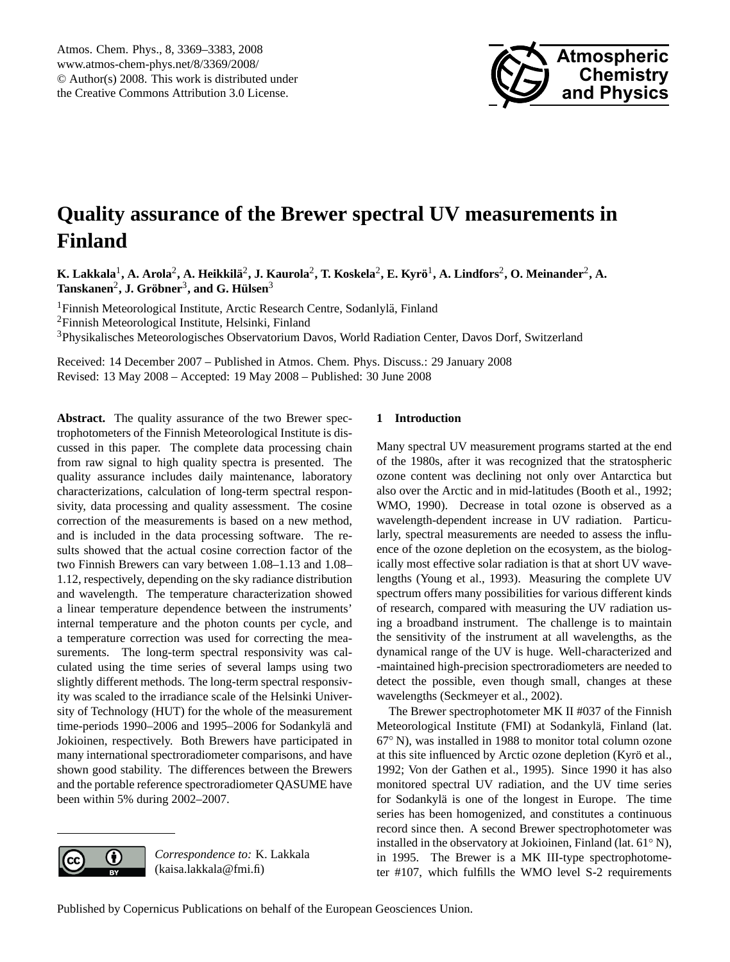

# <span id="page-0-0"></span>**Quality assurance of the Brewer spectral UV measurements in Finland**

 $\bf{K. Lakkala}^1, \bf{A.}$  Arola $^2$ ,  $\bf{A.}$  Heikkilä $^2$ ,  $\bf{J.}$  Kaurola $^2$ ,  $\bf{T.}$  Koskela $^2$ ,  $\bf{E.}$  Kyrö $^1$ ,  $\bf{A.}$  Lindfors $^2$ ,  $\bf{O.}$  Meinander $^2$ ,  $\bf{A.}$  $\text{Tanskanen}^2$ , J. Gröbner<sup>3</sup>, and G. Hülsen<sup>3</sup>

<sup>1</sup>Finnish Meteorological Institute, Arctic Research Centre, Sodanlylä, Finland <sup>2</sup>Finnish Meteorological Institute, Helsinki, Finland <sup>3</sup>Physikalisches Meteorologisches Observatorium Davos, World Radiation Center, Davos Dorf, Switzerland

Received: 14 December 2007 – Published in Atmos. Chem. Phys. Discuss.: 29 January 2008 Revised: 13 May 2008 – Accepted: 19 May 2008 – Published: 30 June 2008

**Abstract.** The quality assurance of the two Brewer spectrophotometers of the Finnish Meteorological Institute is discussed in this paper. The complete data processing chain from raw signal to high quality spectra is presented. The quality assurance includes daily maintenance, laboratory characterizations, calculation of long-term spectral responsivity, data processing and quality assessment. The cosine correction of the measurements is based on a new method, and is included in the data processing software. The results showed that the actual cosine correction factor of the two Finnish Brewers can vary between 1.08–1.13 and 1.08– 1.12, respectively, depending on the sky radiance distribution and wavelength. The temperature characterization showed a linear temperature dependence between the instruments' internal temperature and the photon counts per cycle, and a temperature correction was used for correcting the measurements. The long-term spectral responsivity was calculated using the time series of several lamps using two slightly different methods. The long-term spectral responsivity was scaled to the irradiance scale of the Helsinki University of Technology (HUT) for the whole of the measurement time-periods 1990–2006 and 1995–2006 for Sodankylä and Jokioinen, respectively. Both Brewers have participated in many international spectroradiometer comparisons, and have shown good stability. The differences between the Brewers and the portable reference spectroradiometer QASUME have been within 5% during 2002–2007.

# **1 Introduction**

Many spectral UV measurement programs started at the end of the 1980s, after it was recognized that the stratospheric ozone content was declining not only over Antarctica but also over the Arctic and in mid-latitudes [\(Booth et al.,](#page-12-0) [1992;](#page-12-0) [WMO,](#page-14-0) [1990\)](#page-14-0). Decrease in total ozone is observed as a wavelength-dependent increase in UV radiation. Particularly, spectral measurements are needed to assess the influence of the ozone depletion on the ecosystem, as the biologically most effective solar radiation is that at short UV wavelengths [\(Young et al.,](#page-14-1) [1993\)](#page-14-1). Measuring the complete UV spectrum offers many possibilities for various different kinds of research, compared with measuring the UV radiation using a broadband instrument. The challenge is to maintain the sensitivity of the instrument at all wavelengths, as the dynamical range of the UV is huge. Well-characterized and -maintained high-precision spectroradiometers are needed to detect the possible, even though small, changes at these wavelengths [\(Seckmeyer et al.,](#page-13-0) [2002\)](#page-13-0).

The Brewer spectrophotometer MK II #037 of the Finnish Meteorological Institute (FMI) at Sodankylä, Finland (lat. 67◦ N), was installed in 1988 to monitor total column ozone at this site influenced by Arctic ozone depletion (Kyrö et al., [1992;](#page-13-1) [Von der Gathen et al.,](#page-13-2) [1995\)](#page-13-2). Since 1990 it has also monitored spectral UV radiation, and the UV time series for Sodankylä is one of the longest in Europe. The time series has been homogenized, and constitutes a continuous record since then. A second Brewer spectrophotometer was installed in the observatory at Jokioinen, Finland (lat. 61◦ N), in 1995. The Brewer is a MK III-type spectrophotometer #107, which fulfills the WMO level S-2 requirements

*Correspondence to:* K. Lakkala

(kaisa.lakkala@fmi.fi)

G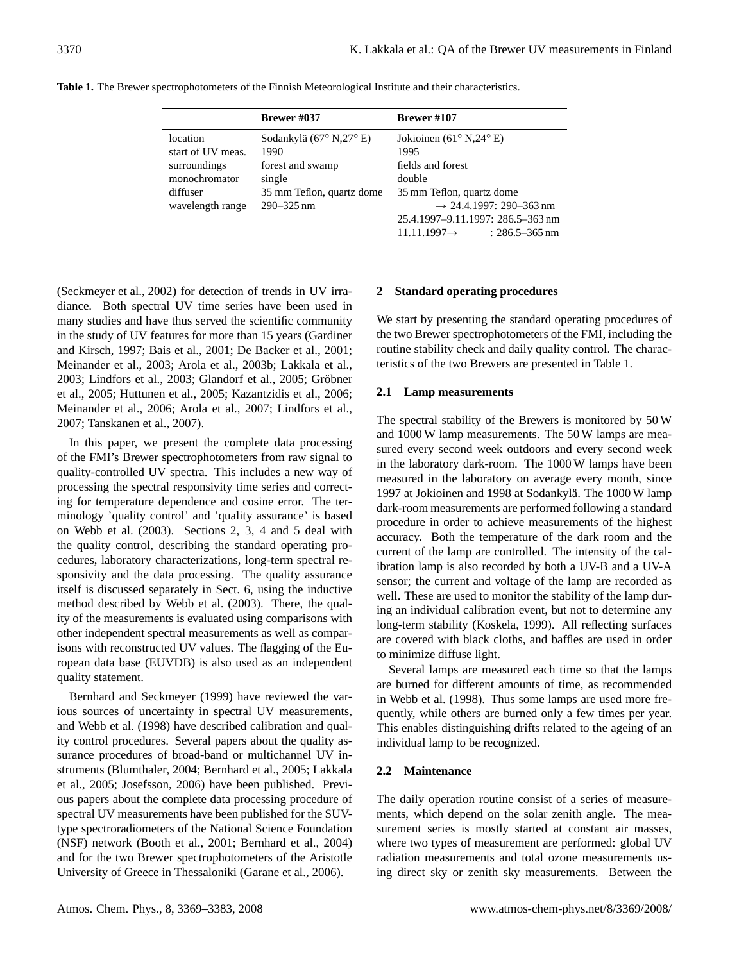|                   | Brewer #037               | <b>Brewer</b> #107                              |  |
|-------------------|---------------------------|-------------------------------------------------|--|
| location          | Sodankylä (67° N,27° E)   | Jokioinen (61 <sup>°</sup> N,24 <sup>°</sup> E) |  |
| start of UV meas. | 1990                      | 1995                                            |  |
| surroundings      | forest and swamp          | fields and forest                               |  |
| monochromator     | single                    | double                                          |  |
| diffuser          | 35 mm Teflon, quartz dome | 35 mm Teflon, quartz dome                       |  |
| wavelength range  | $290 - 325$ nm            | $\rightarrow$ 24.4.1997: 290–363 nm             |  |
|                   |                           | 25.4.1997-9.11.1997: 286.5-363 nm               |  |
|                   |                           | $11.11.1997 \rightarrow$<br>$: 286.5 - 365$ nm  |  |

<span id="page-1-0"></span>**Table 1.** The Brewer spectrophotometers of the Finnish Meteorological Institute and their characteristics.

[\(Seckmeyer et al.,](#page-13-0) [2002\)](#page-13-0) for detection of trends in UV irradiance. Both spectral UV time series have been used in many studies and have thus served the scientific community in the study of UV features for more than 15 years [\(Gardiner](#page-12-1) [and Kirsch,](#page-12-1) [1997;](#page-12-1) [Bais et al.,](#page-12-2) [2001;](#page-12-2) [De Backer et al.,](#page-12-3) [2001;](#page-12-3) [Meinander et al.,](#page-13-3) [2003;](#page-13-3) [Arola et al.,](#page-12-4) [2003b;](#page-12-4) [Lakkala et al.,](#page-13-4) [2003;](#page-13-5) [Lindfors et al.,](#page-13-5) 2003; [Glandorf et al.,](#page-12-5) [2005;](#page-12-5) Gröbner [et al.,](#page-12-6) [2005;](#page-12-6) [Huttunen et al.,](#page-12-7) [2005;](#page-12-7) [Kazantzidis et al.,](#page-13-6) [2006;](#page-13-6) [Meinander et al.,](#page-13-7) [2006;](#page-13-7) [Arola et al.,](#page-12-8) [2007;](#page-12-8) [Lindfors et al.,](#page-13-8) [2007;](#page-13-8) [Tanskanen et al.,](#page-13-9) [2007\)](#page-13-9).

In this paper, we present the complete data processing of the FMI's Brewer spectrophotometers from raw signal to quality-controlled UV spectra. This includes a new way of processing the spectral responsivity time series and correcting for temperature dependence and cosine error. The terminology 'quality control' and 'quality assurance' is based on [Webb et al.](#page-13-10) [\(2003\)](#page-13-10). Sections 2, 3, 4 and 5 deal with the quality control, describing the standard operating procedures, laboratory characterizations, long-term spectral responsivity and the data processing. The quality assurance itself is discussed separately in Sect. 6, using the inductive method described by [Webb et al.](#page-13-10) [\(2003\)](#page-13-10). There, the quality of the measurements is evaluated using comparisons with other independent spectral measurements as well as comparisons with reconstructed UV values. The flagging of the European data base (EUVDB) is also used as an independent quality statement.

[Bernhard and Seckmeyer](#page-12-9) [\(1999\)](#page-12-9) have reviewed the various sources of uncertainty in spectral UV measurements, and [Webb et al.](#page-13-11) [\(1998\)](#page-13-11) have described calibration and quality control procedures. Several papers about the quality assurance procedures of broad-band or multichannel UV instruments [\(Blumthaler,](#page-12-10) [2004;](#page-12-10) [Bernhard et al.,](#page-12-11) [2005;](#page-12-11) [Lakkala](#page-13-12) [et al.,](#page-13-12) [2005;](#page-13-12) [Josefsson,](#page-12-12) [2006\)](#page-12-12) have been published. Previous papers about the complete data processing procedure of spectral UV measurements have been published for the SUVtype spectroradiometers of the National Science Foundation (NSF) network [\(Booth et al.,](#page-12-13) [2001;](#page-12-13) [Bernhard et al.,](#page-12-14) [2004\)](#page-12-14) and for the two Brewer spectrophotometers of the Aristotle University of Greece in Thessaloniki [\(Garane et al.,](#page-12-15) [2006\)](#page-12-15).

# **2 Standard operating procedures**

We start by presenting the standard operating procedures of the two Brewer spectrophotometers of the FMI, including the routine stability check and daily quality control. The characteristics of the two Brewers are presented in Table [1.](#page-1-0)

# **2.1 Lamp measurements**

The spectral stability of the Brewers is monitored by 50 W and 1000 W lamp measurements. The 50 W lamps are measured every second week outdoors and every second week in the laboratory dark-room. The 1000 W lamps have been measured in the laboratory on average every month, since 1997 at Jokioinen and 1998 at Sodankyla. The 1000 W lamp ¨ dark-room measurements are performed following a standard procedure in order to achieve measurements of the highest accuracy. Both the temperature of the dark room and the current of the lamp are controlled. The intensity of the calibration lamp is also recorded by both a UV-B and a UV-A sensor; the current and voltage of the lamp are recorded as well. These are used to monitor the stability of the lamp during an individual calibration event, but not to determine any long-term stability [\(Koskela,](#page-13-13) [1999\)](#page-13-13). All reflecting surfaces are covered with black cloths, and baffles are used in order to minimize diffuse light.

Several lamps are measured each time so that the lamps are burned for different amounts of time, as recommended in [Webb et al.](#page-13-11) [\(1998\)](#page-13-11). Thus some lamps are used more frequently, while others are burned only a few times per year. This enables distinguishing drifts related to the ageing of an individual lamp to be recognized.

# **2.2 Maintenance**

The daily operation routine consist of a series of measurements, which depend on the solar zenith angle. The measurement series is mostly started at constant air masses, where two types of measurement are performed: global UV radiation measurements and total ozone measurements using direct sky or zenith sky measurements. Between the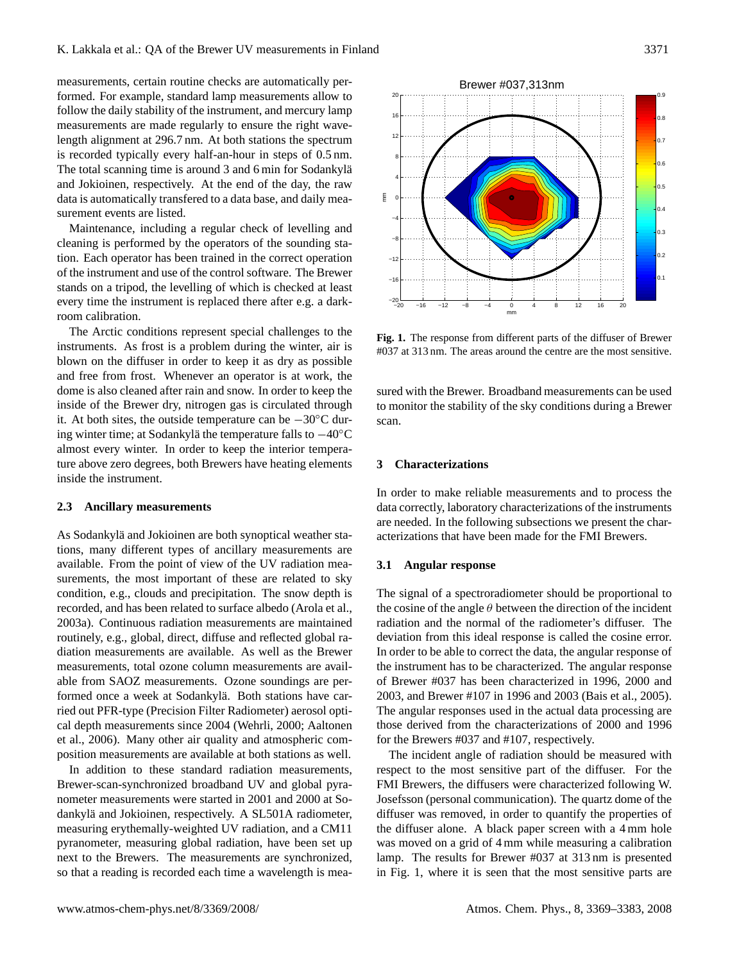measurements, certain routine checks are automatically performed. For example, standard lamp measurements allow to follow the daily stability of the instrument, and mercury lamp measurements are made regularly to ensure the right wavelength alignment at 296.7 nm. At both stations the spectrum is recorded typically every half-an-hour in steps of 0.5 nm. The total scanning time is around 3 and 6 min for Sodankylä and Jokioinen, respectively. At the end of the day, the raw data is automatically transfered to a data base, and daily measurement events are listed.

Maintenance, including a regular check of levelling and cleaning is performed by the operators of the sounding station. Each operator has been trained in the correct operation of the instrument and use of the control software. The Brewer stands on a tripod, the levelling of which is checked at least every time the instrument is replaced there after e.g. a darkroom calibration.

The Arctic conditions represent special challenges to the instruments. As frost is a problem during the winter, air is blown on the diffuser in order to keep it as dry as possible and free from frost. Whenever an operator is at work, the dome is also cleaned after rain and snow. In order to keep the inside of the Brewer dry, nitrogen gas is circulated through it. At both sites, the outside temperature can be −30◦C during winter time; at Sodankylä the temperature falls to  $-40^{\circ}$ C almost every winter. In order to keep the interior temperature above zero degrees, both Brewers have heating elements inside the instrument.

### **2.3 Ancillary measurements**

As Sodankylä and Jokioinen are both synoptical weather stations, many different types of ancillary measurements are available. From the point of view of the UV radiation measurements, the most important of these are related to sky condition, e.g., clouds and precipitation. The snow depth is recorded, and has been related to surface albedo [\(Arola et al.,](#page-12-16) [2003a\)](#page-12-16). Continuous radiation measurements are maintained routinely, e.g., global, direct, diffuse and reflected global radiation measurements are available. As well as the Brewer measurements, total ozone column measurements are available from SAOZ measurements. Ozone soundings are performed once a week at Sodankylä. Both stations have carried out PFR-type (Precision Filter Radiometer) aerosol optical depth measurements since 2004 [\(Wehrli,](#page-14-2) [2000;](#page-14-2) [Aaltonen](#page-12-17) [et al.,](#page-12-17) [2006\)](#page-12-17). Many other air quality and atmospheric composition measurements are available at both stations as well.

In addition to these standard radiation measurements, Brewer-scan-synchronized broadband UV and global pyranometer measurements were started in 2001 and 2000 at Sodankylä and Jokioinen, respectively. A SL501A radiometer, measuring erythemally-weighted UV radiation, and a CM11 pyranometer, measuring global radiation, have been set up next to the Brewers. The measurements are synchronized, so that a reading is recorded each time a wavelength is mea-



<span id="page-2-0"></span>**Fig. 1.** The response from different parts of the diffuser of Brewer #037 at 313 nm. The areas around the centre are the most sensitive.

sured with the Brewer. Broadband measurements can be used to monitor the stability of the sky conditions during a Brewer scan.

### **3 Characterizations**

In order to make reliable measurements and to process the data correctly, laboratory characterizations of the instruments are needed. In the following subsections we present the characterizations that have been made for the FMI Brewers.

### **3.1 Angular response**

The signal of a spectroradiometer should be proportional to the cosine of the angle  $\theta$  between the direction of the incident radiation and the normal of the radiometer's diffuser. The deviation from this ideal response is called the cosine error. In order to be able to correct the data, the angular response of the instrument has to be characterized. The angular response of Brewer #037 has been characterized in 1996, 2000 and 2003, and Brewer #107 in 1996 and 2003 [\(Bais et al.,](#page-12-18) [2005\)](#page-12-18). The angular responses used in the actual data processing are those derived from the characterizations of 2000 and 1996 for the Brewers #037 and #107, respectively.

The incident angle of radiation should be measured with respect to the most sensitive part of the diffuser. For the FMI Brewers, the diffusers were characterized following W. Josefsson (personal communication). The quartz dome of the diffuser was removed, in order to quantify the properties of the diffuser alone. A black paper screen with a 4 mm hole was moved on a grid of 4 mm while measuring a calibration lamp. The results for Brewer #037 at 313 nm is presented in Fig. [1,](#page-2-0) where it is seen that the most sensitive parts are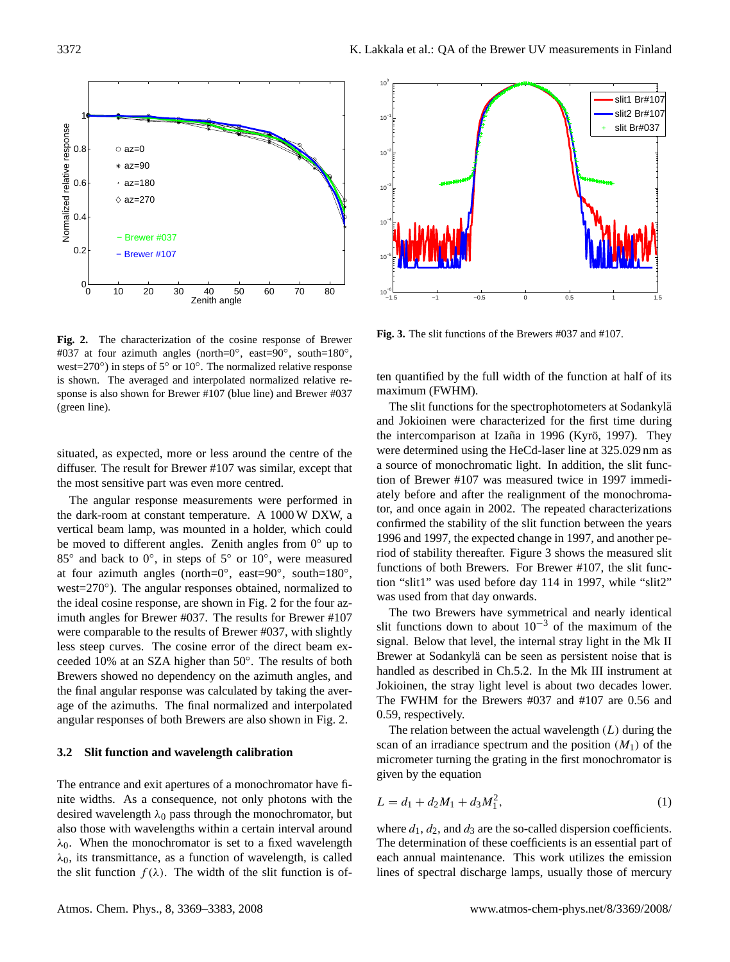

<span id="page-3-0"></span>**Fig. 2.** The characterization of the cosine response of Brewer #037 at four azimuth angles (north=0°, east=90°, south=180°, west=270 $\degree$ ) in steps of 5 $\degree$  or 10 $\degree$ . The normalized relative response is shown. The averaged and interpolated normalized relative response is also shown for Brewer #107 (blue line) and Brewer #037 (green line).

situated, as expected, more or less around the centre of the diffuser. The result for Brewer #107 was similar, except that the most sensitive part was even more centred.

The angular response measurements were performed in the dark-room at constant temperature. A 1000 W DXW, a vertical beam lamp, was mounted in a holder, which could be moved to different angles. Zenith angles from  $0^\circ$  up to 85° and back to 0°, in steps of 5° or 10°, were measured at four azimuth angles (north= $0^\circ$ , east= $90^\circ$ , south= $180^\circ$ , west=270°). The angular responses obtained, normalized to the ideal cosine response, are shown in Fig. [2](#page-3-0) for the four azimuth angles for Brewer #037. The results for Brewer #107 were comparable to the results of Brewer #037, with slightly less steep curves. The cosine error of the direct beam exceeded 10% at an SZA higher than 50◦ . The results of both Brewers showed no dependency on the azimuth angles, and the final angular response was calculated by taking the average of the azimuths. The final normalized and interpolated angular responses of both Brewers are also shown in Fig. [2.](#page-3-0)

#### **3.2 Slit function and wavelength calibration**

The entrance and exit apertures of a monochromator have finite widths. As a consequence, not only photons with the desired wavelength  $\lambda_0$  pass through the monochromator, but also those with wavelengths within a certain interval around  $\lambda_0$ . When the monochromator is set to a fixed wavelength  $\lambda_0$ , its transmittance, as a function of wavelength, is called the slit function  $f(\lambda)$ . The width of the slit function is of-



<span id="page-3-1"></span>**Fig. 3.** The slit functions of the Brewers #037 and #107.

ten quantified by the full width of the function at half of its maximum (FWHM).

The slit functions for the spectrophotometers at Sodankylä and Jokioinen were characterized for the first time during the intercomparison at Izaña in 1996 (Kyrö, [1997\)](#page-13-14). They were determined using the HeCd-laser line at 325.029 nm as a source of monochromatic light. In addition, the slit function of Brewer #107 was measured twice in 1997 immediately before and after the realignment of the monochromator, and once again in 2002. The repeated characterizations confirmed the stability of the slit function between the years 1996 and 1997, the expected change in 1997, and another period of stability thereafter. Figure [3](#page-3-1) shows the measured slit functions of both Brewers. For Brewer #107, the slit function "slit1" was used before day 114 in 1997, while "slit2" was used from that day onwards.

The two Brewers have symmetrical and nearly identical slit functions down to about  $10^{-3}$  of the maximum of the signal. Below that level, the internal stray light in the Mk II Brewer at Sodankylä can be seen as persistent noise that is handled as described in Ch.5.2. In the Mk III instrument at Jokioinen, the stray light level is about two decades lower. The FWHM for the Brewers #037 and #107 are 0.56 and 0.59, respectively.

The relation between the actual wavelength  $(L)$  during the scan of an irradiance spectrum and the position  $(M_1)$  of the micrometer turning the grating in the first monochromator is given by the equation

$$
L = d_1 + d_2 M_1 + d_3 M_1^2,\tag{1}
$$

where  $d_1$ ,  $d_2$ , and  $d_3$  are the so-called dispersion coefficients. The determination of these coefficients is an essential part of each annual maintenance. This work utilizes the emission lines of spectral discharge lamps, usually those of mercury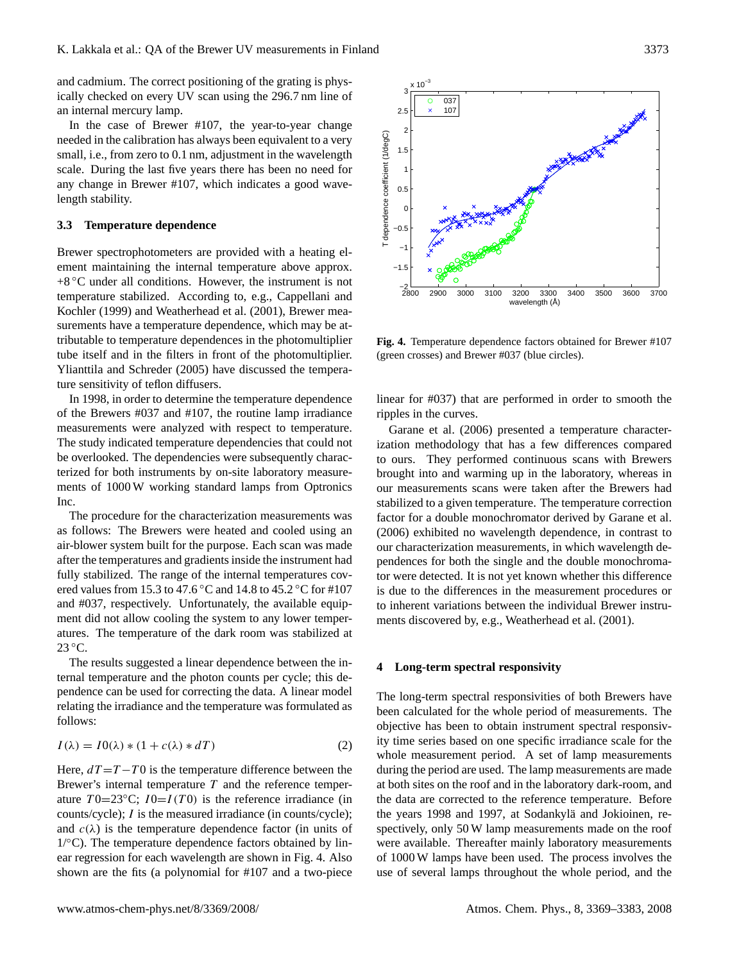and cadmium. The correct positioning of the grating is physically checked on every UV scan using the 296.7 nm line of an internal mercury lamp.

In the case of Brewer #107, the year-to-year change needed in the calibration has always been equivalent to a very small, i.e., from zero to 0.1 nm, adjustment in the wavelength scale. During the last five years there has been no need for any change in Brewer #107, which indicates a good wavelength stability.

# <span id="page-4-1"></span>**3.3 Temperature dependence**

Brewer spectrophotometers are provided with a heating element maintaining the internal temperature above approx.  $+8$  °C under all conditions. However, the instrument is not temperature stabilized. According to, e.g., [Cappellani and](#page-12-19) [Kochler](#page-12-19) [\(1999\)](#page-12-19) and [Weatherhead et al.](#page-13-15) [\(2001\)](#page-13-15), Brewer measurements have a temperature dependence, which may be attributable to temperature dependences in the photomultiplier tube itself and in the filters in front of the photomultiplier. [Ylianttila and Schreder](#page-14-3) [\(2005\)](#page-14-3) have discussed the temperature sensitivity of teflon diffusers.

In 1998, in order to determine the temperature dependence of the Brewers #037 and #107, the routine lamp irradiance measurements were analyzed with respect to temperature. The study indicated temperature dependencies that could not be overlooked. The dependencies were subsequently characterized for both instruments by on-site laboratory measurements of 1000 W working standard lamps from Optronics Inc.

The procedure for the characterization measurements was as follows: The Brewers were heated and cooled using an air-blower system built for the purpose. Each scan was made after the temperatures and gradients inside the instrument had fully stabilized. The range of the internal temperatures covered values from 15.3 to 47.6 °C and 14.8 to 45.2 °C for #107 and #037, respectively. Unfortunately, the available equipment did not allow cooling the system to any lower temperatures. The temperature of the dark room was stabilized at  $23^{\circ}$ C.

The results suggested a linear dependence between the internal temperature and the photon counts per cycle; this dependence can be used for correcting the data. A linear model relating the irradiance and the temperature was formulated as follows:

<span id="page-4-2"></span>
$$
I(\lambda) = I0(\lambda) * (1 + c(\lambda) * dT)
$$
 (2)

Here,  $dT = T - T0$  is the temperature difference between the Brewer's internal temperature  $T$  and the reference temperature  $T0=23\degree C$ ;  $I0=I(T0)$  is the reference irradiance (in counts/cycle); I is the measured irradiance (in counts/cycle); and  $c(\lambda)$  is the temperature dependence factor (in units of 1/◦C). The temperature dependence factors obtained by linear regression for each wavelength are shown in Fig. [4.](#page-4-0) Also shown are the fits (a polynomial for #107 and a two-piece



<span id="page-4-0"></span>**Fig. 4.** Temperature dependence factors obtained for Brewer #107 (green crosses) and Brewer #037 (blue circles).

 $-2$ <br>2800

T dependence coefficient (1/degC)

[dependence coefficient (1/degC)

2800 2900 3000 3100 3200 3300 3400 3500 3600 3700

wavelength (Å)

linear for #037) that are performed in order to smooth the ripples in the curves.

[Garane et al.](#page-12-15) [\(2006\)](#page-12-15) presented a temperature characterization methodology that has a few differences compared to ours. They performed continuous scans with Brewers brought into and warming up in the laboratory, whereas in our measurements scans were taken after the Brewers had stabilized to a given temperature. The temperature correction factor for a double monochromator derived by [Garane et al.](#page-12-15) [\(2006\)](#page-12-15) exhibited no wavelength dependence, in contrast to our characterization measurements, in which wavelength dependences for both the single and the double monochromator were detected. It is not yet known whether this difference is due to the differences in the measurement procedures or to inherent variations between the individual Brewer instruments discovered by, e.g., [Weatherhead et al.](#page-13-15) [\(2001\)](#page-13-15).

## **4 Long-term spectral responsivity**

The long-term spectral responsivities of both Brewers have been calculated for the whole period of measurements. The objective has been to obtain instrument spectral responsivity time series based on one specific irradiance scale for the whole measurement period. A set of lamp measurements during the period are used. The lamp measurements are made at both sites on the roof and in the laboratory dark-room, and the data are corrected to the reference temperature. Before the years 1998 and 1997, at Sodankylä and Jokioinen, respectively, only 50 W lamp measurements made on the roof were available. Thereafter mainly laboratory measurements of 1000 W lamps have been used. The process involves the use of several lamps throughout the whole period, and the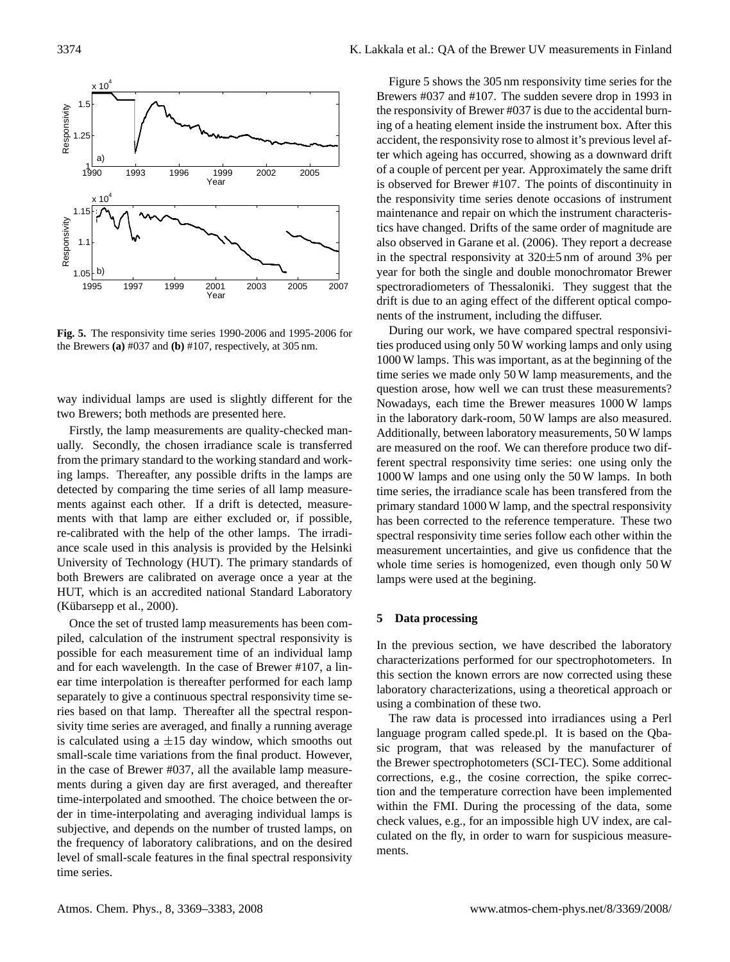

<span id="page-5-0"></span>**Fig. 5.** The responsivity time series 1990-2006 and 1995-2006 for the Brewers **(a)** #037 and **(b)** #107, respectively, at 305 nm.

way individual lamps are used is slightly different for the two Brewers; both methods are presented here.

Firstly, the lamp measurements are quality-checked manually. Secondly, the chosen irradiance scale is transferred from the primary standard to the working standard and working lamps. Thereafter, any possible drifts in the lamps are detected by comparing the time series of all lamp measurements against each other. If a drift is detected, measurements with that lamp are either excluded or, if possible, re-calibrated with the help of the other lamps. The irradiance scale used in this analysis is provided by the Helsinki University of Technology (HUT). The primary standards of both Brewers are calibrated on average once a year at the HUT, which is an accredited national Standard Laboratory  $(Kübarsepp et al., 2000).$  $(Kübarsepp et al., 2000).$  $(Kübarsepp et al., 2000).$ 

Once the set of trusted lamp measurements has been compiled, calculation of the instrument spectral responsivity is possible for each measurement time of an individual lamp and for each wavelength. In the case of Brewer #107, a linear time interpolation is thereafter performed for each lamp separately to give a continuous spectral responsivity time series based on that lamp. Thereafter all the spectral responsivity time series are averaged, and finally a running average is calculated using a  $\pm 15$  day window, which smooths out small-scale time variations from the final product. However, in the case of Brewer #037, all the available lamp measurements during a given day are first averaged, and thereafter time-interpolated and smoothed. The choice between the order in time-interpolating and averaging individual lamps is subjective, and depends on the number of trusted lamps, on the frequency of laboratory calibrations, and on the desired level of small-scale features in the final spectral responsivity time series.

Figure [5](#page-5-0) shows the 305 nm responsivity time series for the Brewers #037 and #107. The sudden severe drop in 1993 in the responsivity of Brewer #037 is due to the accidental burning of a heating element inside the instrument box. After this accident, the responsivity rose to almost it's previous level after which ageing has occurred, showing as a downward drift of a couple of percent per year. Approximately the same drift is observed for Brewer #107. The points of discontinuity in the responsivity time series denote occasions of instrument maintenance and repair on which the instrument characteristics have changed. Drifts of the same order of magnitude are also observed in [Garane et al.](#page-12-15) [\(2006\)](#page-12-15). They report a decrease in the spectral responsivity at 320±5 nm of around 3% per year for both the single and double monochromator Brewer spectroradiometers of Thessaloniki. They suggest that the drift is due to an aging effect of the different optical components of the instrument, including the diffuser.

During our work, we have compared spectral responsivities produced using only 50 W working lamps and only using 1000 W lamps. This was important, as at the beginning of the time series we made only 50 W lamp measurements, and the question arose, how well we can trust these measurements? Nowadays, each time the Brewer measures 1000 W lamps in the laboratory dark-room, 50 W lamps are also measured. Additionally, between laboratory measurements, 50 W lamps are measured on the roof. We can therefore produce two different spectral responsivity time series: one using only the 1000 W lamps and one using only the 50 W lamps. In both time series, the irradiance scale has been transfered from the primary standard 1000 W lamp, and the spectral responsivity has been corrected to the reference temperature. These two spectral responsivity time series follow each other within the measurement uncertainties, and give us confidence that the whole time series is homogenized, even though only 50 W lamps were used at the begining.

#### **5 Data processing**

In the previous section, we have described the laboratory characterizations performed for our spectrophotometers. In this section the known errors are now corrected using these laboratory characterizations, using a theoretical approach or using a combination of these two.

The raw data is processed into irradiances using a Perl language program called spede.pl. It is based on the Qbasic program, that was released by the manufacturer of the Brewer spectrophotometers (SCI-TEC). Some additional corrections, e.g., the cosine correction, the spike correction and the temperature correction have been implemented within the FMI. During the processing of the data, some check values, e.g., for an impossible high UV index, are calculated on the fly, in order to warn for suspicious measurements.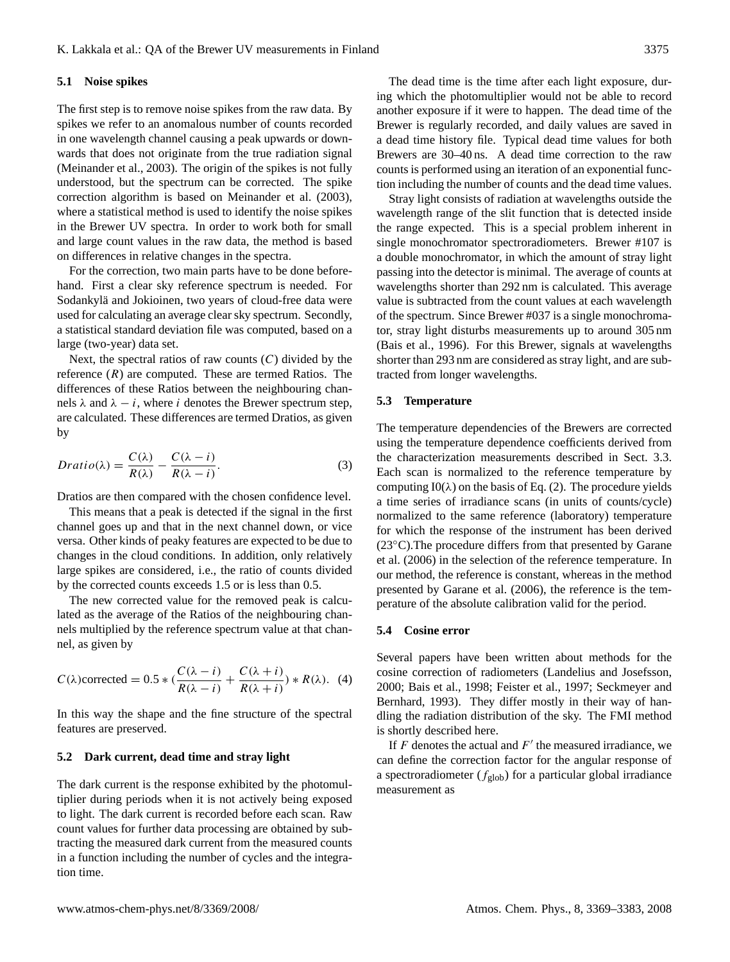#### **5.1 Noise spikes**

The first step is to remove noise spikes from the raw data. By spikes we refer to an anomalous number of counts recorded in one wavelength channel causing a peak upwards or downwards that does not originate from the true radiation signal [\(Meinander et al.,](#page-13-3) [2003\)](#page-13-3). The origin of the spikes is not fully understood, but the spectrum can be corrected. The spike correction algorithm is based on [Meinander et al.](#page-13-3) [\(2003\)](#page-13-3), where a statistical method is used to identify the noise spikes in the Brewer UV spectra. In order to work both for small and large count values in the raw data, the method is based on differences in relative changes in the spectra.

For the correction, two main parts have to be done beforehand. First a clear sky reference spectrum is needed. For Sodankylä and Jokioinen, two years of cloud-free data were used for calculating an average clear sky spectrum. Secondly, a statistical standard deviation file was computed, based on a large (two-year) data set.

Next, the spectral ratios of raw counts  $(C)$  divided by the reference  $(R)$  are computed. These are termed Ratios. The differences of these Ratios between the neighbouring channels  $\lambda$  and  $\lambda - i$ , where i denotes the Brewer spectrum step, are calculated. These differences are termed Dratios, as given by

$$
Dratio(\lambda) = \frac{C(\lambda)}{R(\lambda)} - \frac{C(\lambda - i)}{R(\lambda - i)}.
$$
\n(3)

Dratios are then compared with the chosen confidence level.

This means that a peak is detected if the signal in the first channel goes up and that in the next channel down, or vice versa. Other kinds of peaky features are expected to be due to changes in the cloud conditions. In addition, only relatively large spikes are considered, i.e., the ratio of counts divided by the corrected counts exceeds 1.5 or is less than 0.5.

The new corrected value for the removed peak is calculated as the average of the Ratios of the neighbouring channels multiplied by the reference spectrum value at that channel, as given by

$$
C(\lambda)\text{corrected} = 0.5 * (\frac{C(\lambda - i)}{R(\lambda - i)} + \frac{C(\lambda + i)}{R(\lambda + i)}) * R(\lambda). \tag{4}
$$

In this way the shape and the fine structure of the spectral features are preserved.

## **5.2 Dark current, dead time and stray light**

The dark current is the response exhibited by the photomultiplier during periods when it is not actively being exposed to light. The dark current is recorded before each scan. Raw count values for further data processing are obtained by subtracting the measured dark current from the measured counts in a function including the number of cycles and the integration time.

The dead time is the time after each light exposure, during which the photomultiplier would not be able to record another exposure if it were to happen. The dead time of the Brewer is regularly recorded, and daily values are saved in a dead time history file. Typical dead time values for both Brewers are 30–40 ns. A dead time correction to the raw counts is performed using an iteration of an exponential function including the number of counts and the dead time values.

Stray light consists of radiation at wavelengths outside the wavelength range of the slit function that is detected inside the range expected. This is a special problem inherent in single monochromator spectroradiometers. Brewer #107 is a double monochromator, in which the amount of stray light passing into the detector is minimal. The average of counts at wavelengths shorter than 292 nm is calculated. This average value is subtracted from the count values at each wavelength of the spectrum. Since Brewer #037 is a single monochromator, stray light disturbs measurements up to around 305 nm [\(Bais et al.,](#page-12-20) [1996\)](#page-12-20). For this Brewer, signals at wavelengths shorter than 293 nm are considered as stray light, and are subtracted from longer wavelengths.

## **5.3 Temperature**

The temperature dependencies of the Brewers are corrected using the temperature dependence coefficients derived from the characterization measurements described in Sect. [3.3.](#page-4-1) Each scan is normalized to the reference temperature by computing  $I0(\lambda)$  on the basis of Eq. [\(2\)](#page-4-2). The procedure yields a time series of irradiance scans (in units of counts/cycle) normalized to the same reference (laboratory) temperature for which the response of the instrument has been derived (23◦C).The procedure differs from that presented by [Garane](#page-12-15) [et al.](#page-12-15) [\(2006\)](#page-12-15) in the selection of the reference temperature. In our method, the reference is constant, whereas in the method presented by [Garane et al.](#page-12-15) [\(2006\)](#page-12-15), the reference is the temperature of the absolute calibration valid for the period.

#### **5.4 Cosine error**

Several papers have been written about methods for the cosine correction of radiometers [\(Landelius and Josefsson,](#page-13-17) [2000;](#page-13-17) [Bais et al.,](#page-12-21) [1998;](#page-12-21) [Feister et al.,](#page-12-22) [1997;](#page-12-22) [Seckmeyer and](#page-13-18) [Bernhard,](#page-13-18) [1993\)](#page-13-18). They differ mostly in their way of handling the radiation distribution of the sky. The FMI method is shortly described here.

If  $F$  denotes the actual and  $F'$  the measured irradiance, we can define the correction factor for the angular response of a spectroradiometer ( $f_{\text{glob}}$ ) for a particular global irradiance measurement as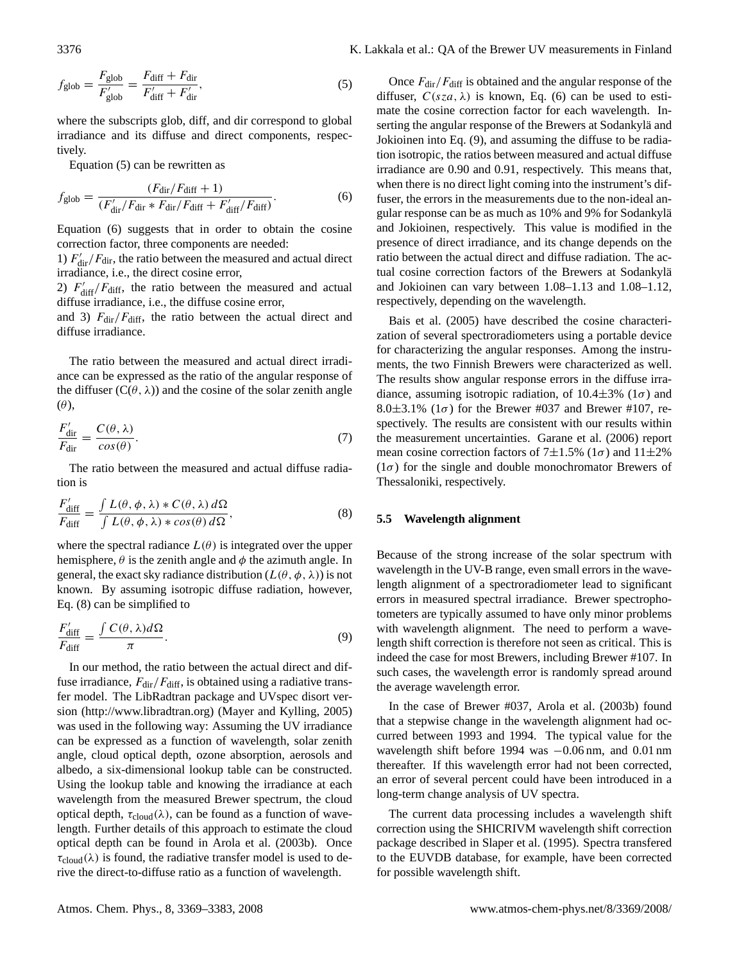<span id="page-7-0"></span>
$$
f_{\text{glob}} = \frac{F_{\text{glob}}}{F_{\text{glob}}'} = \frac{F_{\text{diff}} + F_{\text{dir}}}{F_{\text{diff}}' + F_{\text{dir}}'},\tag{5}
$$

where the subscripts glob, diff, and dir correspond to global irradiance and its diffuse and direct components, respectively.

Equation [\(5\)](#page-7-0) can be rewritten as

<span id="page-7-1"></span>
$$
f_{\text{glob}} = \frac{(F_{\text{dir}}/F_{\text{diff}} + 1)}{(F_{\text{dir}}'/F_{\text{dir}} * F_{\text{dir}}/F_{\text{diff}} + F_{\text{diff}}'/F_{\text{diff}})}.
$$
(6)

Equation [\(6\)](#page-7-1) suggests that in order to obtain the cosine correction factor, three components are needed:

1)  $F_{\text{dir}}^{\prime}/F_{\text{dir}}$ , the ratio between the measured and actual direct irradiance, i.e., the direct cosine error,

2)  $F'_{\text{diff}}/F_{\text{diff}}$ , the ratio between the measured and actual diffuse irradiance, i.e., the diffuse cosine error,

and 3)  $F_{\text{dir}}/F_{\text{diff}}$ , the ratio between the actual direct and diffuse irradiance.

The ratio between the measured and actual direct irradiance can be expressed as the ratio of the angular response of the diffuser  $(C(\theta, \lambda))$  and the cosine of the solar zenith angle  $(\theta)$ ,

$$
\frac{F'_{\text{dir}}}{F_{\text{dir}}} = \frac{C(\theta, \lambda)}{\cos(\theta)}.
$$
\n(7)

The ratio between the measured and actual diffuse radiation is

<span id="page-7-2"></span>
$$
\frac{F'_{\text{diff}}}{F_{\text{diff}}} = \frac{\int L(\theta, \phi, \lambda) * C(\theta, \lambda) d\Omega}{\int L(\theta, \phi, \lambda) * \cos(\theta) d\Omega},\tag{8}
$$

where the spectral radiance  $L(\theta)$  is integrated over the upper hemisphere,  $\theta$  is the zenith angle and  $\phi$  the azimuth angle. In general, the exact sky radiance distribution  $(L(\theta, \phi, \lambda))$  is not known. By assuming isotropic diffuse radiation, however, Eq. [\(8\)](#page-7-2) can be simplified to

<span id="page-7-3"></span>
$$
\frac{F'_{\text{diff}}}{F_{\text{diff}}} = \frac{\int C(\theta, \lambda) d\Omega}{\pi}.
$$
\n(9)

In our method, the ratio between the actual direct and diffuse irradiance,  $F_{\text{dir}}/F_{\text{diff}}$ , is obtained using a radiative transfer model. The LibRadtran package and UVspec disort version [\(http://www.libradtran.org\)](http://www.libradtran.org) [\(Mayer and Kylling,](#page-13-19) [2005\)](#page-13-19) was used in the following way: Assuming the UV irradiance can be expressed as a function of wavelength, solar zenith angle, cloud optical depth, ozone absorption, aerosols and albedo, a six-dimensional lookup table can be constructed. Using the lookup table and knowing the irradiance at each wavelength from the measured Brewer spectrum, the cloud optical depth,  $\tau_{\text{cloud}}(\lambda)$ , can be found as a function of wavelength. Further details of this approach to estimate the cloud optical depth can be found in [Arola et al.](#page-12-4) [\(2003b\)](#page-12-4). Once  $\tau_{\text{cloud}}(\lambda)$  is found, the radiative transfer model is used to derive the direct-to-diffuse ratio as a function of wavelength.

Once  $F_{\text{dir}}/F_{\text{diff}}$  is obtained and the angular response of the diffuser,  $C(sza, \lambda)$  is known, Eq. [\(6\)](#page-7-1) can be used to estimate the cosine correction factor for each wavelength. Inserting the angular response of the Brewers at Sodankylä and Jokioinen into Eq. [\(9\)](#page-7-3), and assuming the diffuse to be radiation isotropic, the ratios between measured and actual diffuse irradiance are 0.90 and 0.91, respectively. This means that, when there is no direct light coming into the instrument's diffuser, the errors in the measurements due to the non-ideal angular response can be as much as 10% and 9% for Sodankylä and Jokioinen, respectively. This value is modified in the presence of direct irradiance, and its change depends on the ratio between the actual direct and diffuse radiation. The actual cosine correction factors of the Brewers at Sodankylä and Jokioinen can vary between 1.08–1.13 and 1.08–1.12, respectively, depending on the wavelength.

[Bais et al.](#page-12-18) [\(2005\)](#page-12-18) have described the cosine characterization of several spectroradiometers using a portable device for characterizing the angular responses. Among the instruments, the two Finnish Brewers were characterized as well. The results show angular response errors in the diffuse irradiance, assuming isotropic radiation, of  $10.4 \pm 3\%$  (1 $\sigma$ ) and 8.0 $\pm$ 3.1% (1 $\sigma$ ) for the Brewer #037 and Brewer #107, respectively. The results are consistent with our results within the measurement uncertainties. [Garane et al.](#page-12-15) [\(2006\)](#page-12-15) report mean cosine correction factors of  $7\pm1.5\%$  (1 $\sigma$ ) and 11 $\pm2\%$  $(1\sigma)$  for the single and double monochromator Brewers of Thessaloniki, respectively.

#### **5.5 Wavelength alignment**

Because of the strong increase of the solar spectrum with wavelength in the UV-B range, even small errors in the wavelength alignment of a spectroradiometer lead to significant errors in measured spectral irradiance. Brewer spectrophotometers are typically assumed to have only minor problems with wavelength alignment. The need to perform a wavelength shift correction is therefore not seen as critical. This is indeed the case for most Brewers, including Brewer #107. In such cases, the wavelength error is randomly spread around the average wavelength error.

In the case of Brewer #037, [Arola et al.](#page-12-4) [\(2003b\)](#page-12-4) found that a stepwise change in the wavelength alignment had occurred between 1993 and 1994. The typical value for the wavelength shift before 1994 was −0.06 nm, and 0.01 nm thereafter. If this wavelength error had not been corrected, an error of several percent could have been introduced in a long-term change analysis of UV spectra.

The current data processing includes a wavelength shift correction using the SHICRIVM wavelength shift correction package described in [Slaper et al.](#page-13-20) [\(1995\)](#page-13-20). Spectra transfered to the EUVDB database, for example, have been corrected for possible wavelength shift.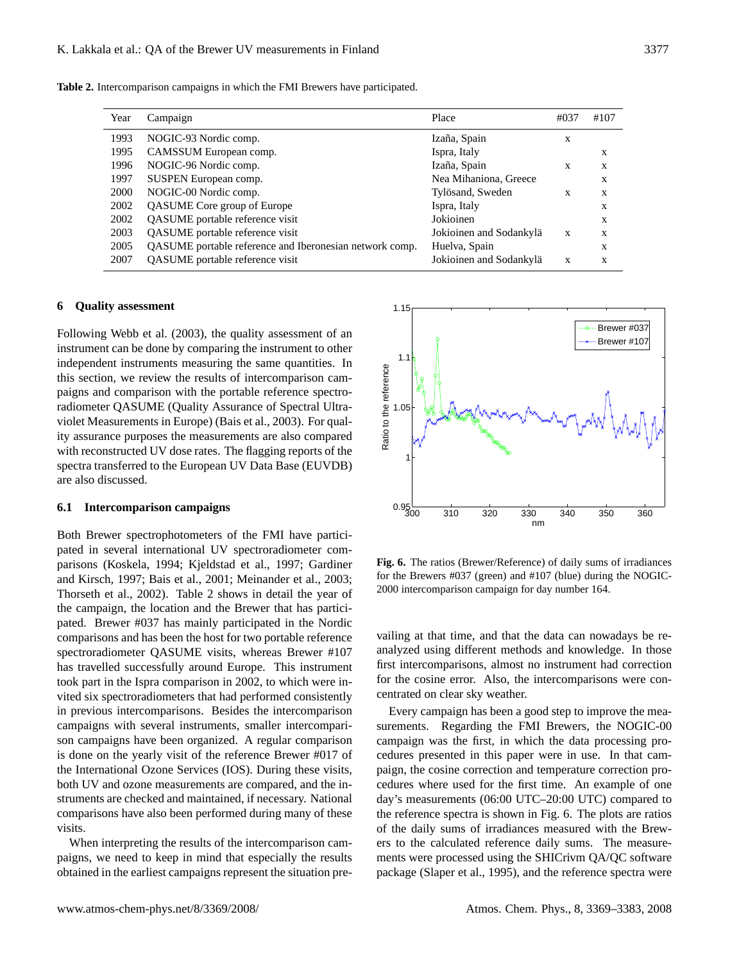**Table 2.** Intercomparison campaigns in which the FMI Brewers have participated.

<span id="page-8-0"></span>

| Year | Campaign                                                | Place                   | #037 | #107 |
|------|---------------------------------------------------------|-------------------------|------|------|
| 1993 | NOGIC-93 Nordic comp.                                   | Izaña, Spain            | X    |      |
| 1995 | CAMSSUM European comp.                                  | Ispra, Italy            |      | X    |
| 1996 | NOGIC-96 Nordic comp.                                   | Izaña, Spain            | X    | X    |
| 1997 | SUSPEN European comp.                                   | Nea Mihaniona, Greece   |      | X    |
| 2000 | NOGIC-00 Nordic comp.                                   | Tylösand, Sweden        | X    | X    |
| 2002 | QASUME Core group of Europe                             | Ispra, Italy            |      | X    |
| 2002 | QASUME portable reference visit                         | Jokioinen               |      | X    |
| 2003 | <b>QASUME</b> portable reference visit                  | Jokioinen and Sodankylä | X    | X    |
| 2005 | QASUME portable reference and Iberonesian network comp. | Huelva, Spain           |      | X    |
| 2007 | QASUME portable reference visit                         | Jokioinen and Sodankylä | X    | X    |

# **6 Quality assessment**

Following [Webb et al.](#page-13-10) [\(2003\)](#page-13-10), the quality assessment of an instrument can be done by comparing the instrument to other independent instruments measuring the same quantities. In this section, we review the results of intercomparison campaigns and comparison with the portable reference spectroradiometer QASUME (Quality Assurance of Spectral Ultraviolet Measurements in Europe) [\(Bais et al.,](#page-12-23) [2003\)](#page-12-23). For quality assurance purposes the measurements are also compared with reconstructed UV dose rates. The flagging reports of the spectra transferred to the European UV Data Base (EUVDB) are also discussed.

# **6.1 Intercomparison campaigns**

Both Brewer spectrophotometers of the FMI have participated in several international UV spectroradiometer comparisons [\(Koskela,](#page-13-21) [1994;](#page-13-21) [Kjeldstad et al.,](#page-13-22) [1997;](#page-13-22) [Gardiner](#page-12-1) [and Kirsch,](#page-12-1) [1997;](#page-12-1) [Bais et al.,](#page-12-2) [2001;](#page-12-2) [Meinander et al.,](#page-13-3) [2003;](#page-13-3) [Thorseth et al.,](#page-13-23) [2002\)](#page-13-23). Table [2](#page-8-0) shows in detail the year of the campaign, the location and the Brewer that has participated. Brewer #037 has mainly participated in the Nordic comparisons and has been the host for two portable reference spectroradiometer QASUME visits, whereas Brewer #107 has travelled successfully around Europe. This instrument took part in the Ispra comparison in 2002, to which were invited six spectroradiometers that had performed consistently in previous intercomparisons. Besides the intercomparison campaigns with several instruments, smaller intercomparison campaigns have been organized. A regular comparison is done on the yearly visit of the reference Brewer #017 of the International Ozone Services (IOS). During these visits, both UV and ozone measurements are compared, and the instruments are checked and maintained, if necessary. National comparisons have also been performed during many of these visits.

When interpreting the results of the intercomparison campaigns, we need to keep in mind that especially the results obtained in the earliest campaigns represent the situation pre-



<span id="page-8-1"></span>**Fig. 6.** The ratios (Brewer/Reference) of daily sums of irradiances for the Brewers #037 (green) and #107 (blue) during the NOGIC-2000 intercomparison campaign for day number 164.

vailing at that time, and that the data can nowadays be reanalyzed using different methods and knowledge. In those first intercomparisons, almost no instrument had correction for the cosine error. Also, the intercomparisons were concentrated on clear sky weather.

Every campaign has been a good step to improve the measurements. Regarding the FMI Brewers, the NOGIC-00 campaign was the first, in which the data processing procedures presented in this paper were in use. In that campaign, the cosine correction and temperature correction procedures where used for the first time. An example of one day's measurements (06:00 UTC–20:00 UTC) compared to the reference spectra is shown in Fig. [6.](#page-8-1) The plots are ratios of the daily sums of irradiances measured with the Brewers to the calculated reference daily sums. The measurements were processed using the SHICrivm QA/QC software package [\(Slaper et al.,](#page-13-20) [1995\)](#page-13-20), and the reference spectra were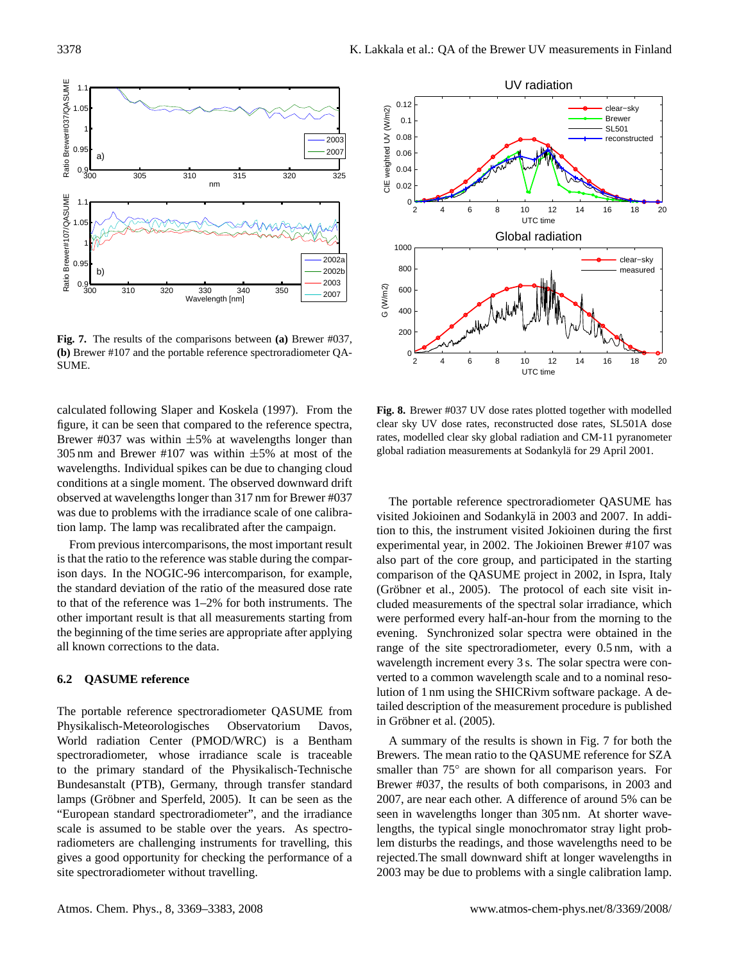

<span id="page-9-0"></span>**Fig. 7.** The results of the comparisons between **(a)** Brewer #037, **(b)** Brewer #107 and the portable reference spectroradiometer QA-SUME.

calculated following [Slaper and Koskela](#page-13-24) [\(1997\)](#page-13-24). From the figure, it can be seen that compared to the reference spectra, Brewer #037 was within  $\pm 5\%$  at wavelengths longer than 305 nm and Brewer #107 was within  $\pm 5\%$  at most of the wavelengths. Individual spikes can be due to changing cloud conditions at a single moment. The observed downward drift observed at wavelengths longer than 317 nm for Brewer #037 was due to problems with the irradiance scale of one calibration lamp. The lamp was recalibrated after the campaign.

From previous intercomparisons, the most important result is that the ratio to the reference was stable during the comparison days. In the NOGIC-96 intercomparison, for example, the standard deviation of the ratio of the measured dose rate to that of the reference was 1–2% for both instruments. The other important result is that all measurements starting from the beginning of the time series are appropriate after applying all known corrections to the data.

# **6.2 QASUME reference**

The portable reference spectroradiometer QASUME from Physikalisch-Meteorologisches Observatorium Davos, World radiation Center (PMOD/WRC) is a Bentham spectroradiometer, whose irradiance scale is traceable to the primary standard of the Physikalisch-Technische Bundesanstalt (PTB), Germany, through transfer standard lamps (Gröbner and Sperfeld, [2005\)](#page-12-24). It can be seen as the "European standard spectroradiometer", and the irradiance scale is assumed to be stable over the years. As spectroradiometers are challenging instruments for travelling, this gives a good opportunity for checking the performance of a site spectroradiometer without travelling.



<span id="page-9-1"></span>**Fig. 8.** Brewer #037 UV dose rates plotted together with modelled clear sky UV dose rates, reconstructed dose rates, SL501A dose rates, modelled clear sky global radiation and CM-11 pyranometer global radiation measurements at Sodankylä for 29 April 2001.

The portable reference spectroradiometer QASUME has visited Jokioinen and Sodankylä in 2003 and 2007. In addition to this, the instrument visited Jokioinen during the first experimental year, in 2002. The Jokioinen Brewer #107 was also part of the core group, and participated in the starting comparison of the QASUME project in 2002, in Ispra, Italy (Gröbner et al.,  $2005$ ). The protocol of each site visit included measurements of the spectral solar irradiance, which were performed every half-an-hour from the morning to the evening. Synchronized solar spectra were obtained in the range of the site spectroradiometer, every 0.5 nm, with a wavelength increment every 3 s. The solar spectra were converted to a common wavelength scale and to a nominal resolution of 1 nm using the SHICRivm software package. A detailed description of the measurement procedure is published in Gröbner et al. [\(2005\)](#page-12-6).

A summary of the results is shown in Fig. [7](#page-9-0) for both the Brewers. The mean ratio to the QASUME reference for SZA smaller than 75° are shown for all comparison years. For Brewer #037, the results of both comparisons, in 2003 and 2007, are near each other. A difference of around 5% can be seen in wavelengths longer than 305 nm. At shorter wavelengths, the typical single monochromator stray light problem disturbs the readings, and those wavelengths need to be rejected.The small downward shift at longer wavelengths in 2003 may be due to problems with a single calibration lamp.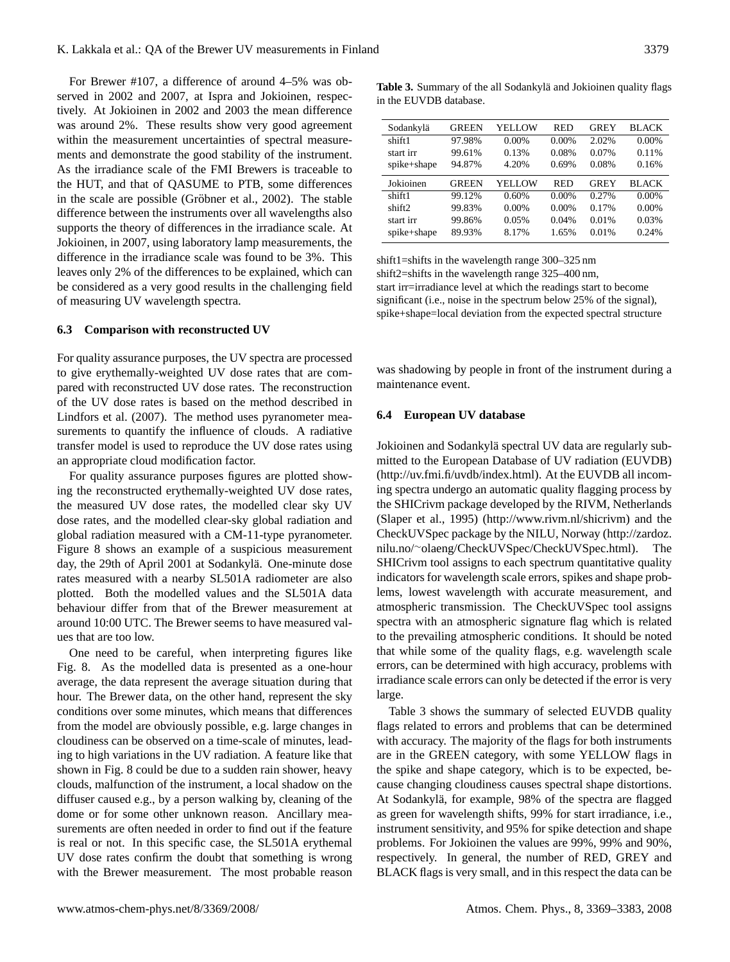For Brewer #107, a difference of around 4–5% was observed in 2002 and 2007, at Ispra and Jokioinen, respectively. At Jokioinen in 2002 and 2003 the mean difference was around 2%. These results show very good agreement within the measurement uncertainties of spectral measurements and demonstrate the good stability of the instrument. As the irradiance scale of the FMI Brewers is traceable to the HUT, and that of QASUME to PTB, some differences in the scale are possible (Gröbner et al., [2002\)](#page-12-25). The stable difference between the instruments over all wavelengths also supports the theory of differences in the irradiance scale. At Jokioinen, in 2007, using laboratory lamp measurements, the difference in the irradiance scale was found to be 3%. This leaves only 2% of the differences to be explained, which can be considered as a very good results in the challenging field of measuring UV wavelength spectra.

#### **6.3 Comparison with reconstructed UV**

For quality assurance purposes, the UV spectra are processed to give erythemally-weighted UV dose rates that are compared with reconstructed UV dose rates. The reconstruction of the UV dose rates is based on the method described in [Lindfors et al.](#page-13-8) [\(2007\)](#page-13-8). The method uses pyranometer measurements to quantify the influence of clouds. A radiative transfer model is used to reproduce the UV dose rates using an appropriate cloud modification factor.

For quality assurance purposes figures are plotted showing the reconstructed erythemally-weighted UV dose rates, the measured UV dose rates, the modelled clear sky UV dose rates, and the modelled clear-sky global radiation and global radiation measured with a CM-11-type pyranometer. Figure [8](#page-9-1) shows an example of a suspicious measurement day, the 29th of April 2001 at Sodankylä. One-minute dose rates measured with a nearby SL501A radiometer are also plotted. Both the modelled values and the SL501A data behaviour differ from that of the Brewer measurement at around 10:00 UTC. The Brewer seems to have measured values that are too low.

One need to be careful, when interpreting figures like Fig. [8.](#page-9-1) As the modelled data is presented as a one-hour average, the data represent the average situation during that hour. The Brewer data, on the other hand, represent the sky conditions over some minutes, which means that differences from the model are obviously possible, e.g. large changes in cloudiness can be observed on a time-scale of minutes, leading to high variations in the UV radiation. A feature like that shown in Fig. [8](#page-9-1) could be due to a sudden rain shower, heavy clouds, malfunction of the instrument, a local shadow on the diffuser caused e.g., by a person walking by, cleaning of the dome or for some other unknown reason. Ancillary measurements are often needed in order to find out if the feature is real or not. In this specific case, the SL501A erythemal UV dose rates confirm the doubt that something is wrong with the Brewer measurement. The most probable reason

<span id="page-10-0"></span>Table 3. Summary of the all Sodankylä and Jokioinen quality flags in the EUVDB database.

| Sodankylä   | <b>GREEN</b> | YELLOW   | RED      | <b>GREY</b> | <b>BLACK</b> |
|-------------|--------------|----------|----------|-------------|--------------|
| shift1      | 97.98%       | $0.00\%$ | 0.00%    | 2.02%       | $0.00\%$     |
| start irr   | 99.61%       | 0.13%    | 0.08%    | 0.07%       | 0.11%        |
| spike+shape | 94.87%       | 4.20%    | 0.69%    | 0.08%       | 0.16%        |
| Jokioinen   | <b>GREEN</b> | YELLOW   | RED      | <b>GREY</b> | <b>BLACK</b> |
| shift1      | 99.12%       | 0.60%    | $0.00\%$ | 0.27%       | $0.00\%$     |
| shift2      | 99.83%       | $0.00\%$ | $0.00\%$ | 0.17%       | $0.00\%$     |
| start irr   | 99.86%       | 0.05%    | 0.04%    | 0.01%       | 0.03%        |
|             |              |          |          |             |              |
| spike+shape | 89.93%       | 8.17%    | 1.65%    | 0.01%       | 0.24%        |

shift1=shifts in the wavelength range 300–325 nm shift2=shifts in the wavelength range 325–400 nm, start irr=irradiance level at which the readings start to become significant (i.e., noise in the spectrum below 25% of the signal), spike+shape=local deviation from the expected spectral structure

was shadowing by people in front of the instrument during a maintenance event.

#### **6.4 European UV database**

Jokioinen and Sodankylä spectral UV data are regularly submitted to the European Database of UV radiation (EUVDB) [\(http://uv.fmi.fi/uvdb/index.html\)](http://uv.fmi.fi/uvdb/index.html). At the EUVDB all incoming spectra undergo an automatic quality flagging process by the SHICrivm package developed by the RIVM, Netherlands [\(Slaper et al.,](#page-13-20) [1995\)](#page-13-20) [\(http://www.rivm.nl/shicrivm\)](http://www.rivm.nl/shicrivm) and the CheckUVSpec package by the NILU, Norway [\(http://zardoz.](http://zardoz.nilu.no/~olaeng/CheckUVSpec/CheckUVSpec.html) nilu.no/∼[olaeng/CheckUVSpec/CheckUVSpec.html\)](http://zardoz.nilu.no/~olaeng/CheckUVSpec/CheckUVSpec.html). The SHICrivm tool assigns to each spectrum quantitative quality indicators for wavelength scale errors, spikes and shape problems, lowest wavelength with accurate measurement, and atmospheric transmission. The CheckUVSpec tool assigns spectra with an atmospheric signature flag which is related to the prevailing atmospheric conditions. It should be noted that while some of the quality flags, e.g. wavelength scale errors, can be determined with high accuracy, problems with irradiance scale errors can only be detected if the error is very large.

Table [3](#page-10-0) shows the summary of selected EUVDB quality flags related to errors and problems that can be determined with accuracy. The majority of the flags for both instruments are in the GREEN category, with some YELLOW flags in the spike and shape category, which is to be expected, because changing cloudiness causes spectral shape distortions. At Sodankylä, for example, 98% of the spectra are flagged as green for wavelength shifts, 99% for start irradiance, i.e., instrument sensitivity, and 95% for spike detection and shape problems. For Jokioinen the values are 99%, 99% and 90%, respectively. In general, the number of RED, GREY and BLACK flags is very small, and in this respect the data can be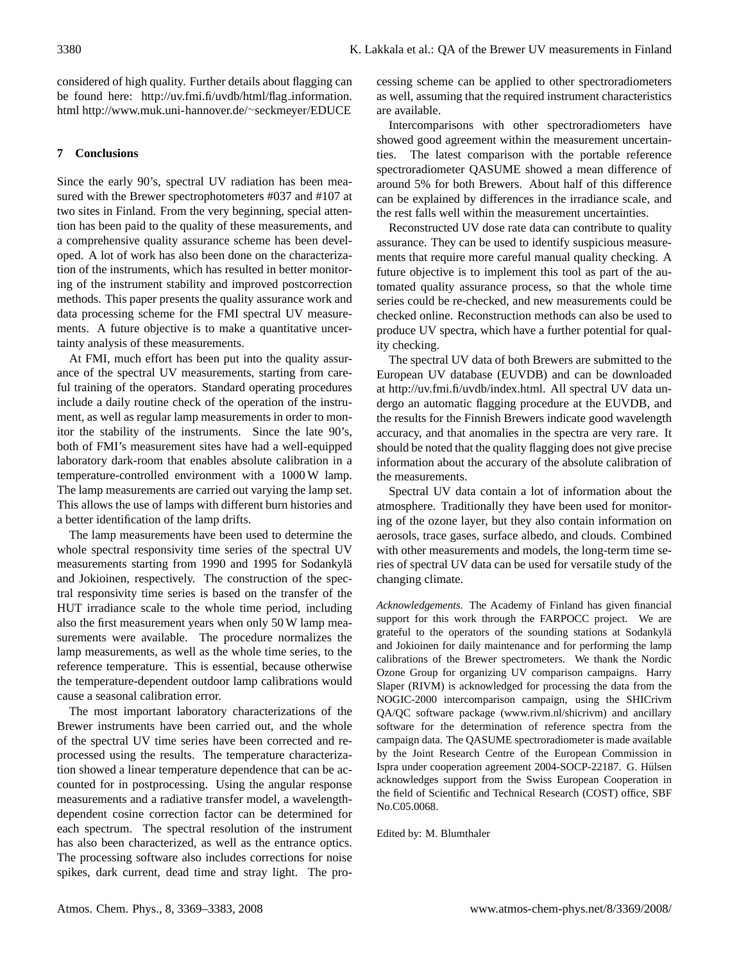considered of high quality. Further details about flagging can be found here: [http://uv.fmi.fi/uvdb/html/flag](http://uv.fmi.fi/uvdb/html/flag_information.html) information. [html](http://uv.fmi.fi/uvdb/html/flag_information.html) [http://www.muk.uni-hannover.de/](http://www.muk.uni-hannover.de/~seckmeyer/EDUCE)∼seckmeyer/EDUCE

# **7 Conclusions**

Since the early 90's, spectral UV radiation has been measured with the Brewer spectrophotometers #037 and #107 at two sites in Finland. From the very beginning, special attention has been paid to the quality of these measurements, and a comprehensive quality assurance scheme has been developed. A lot of work has also been done on the characterization of the instruments, which has resulted in better monitoring of the instrument stability and improved postcorrection methods. This paper presents the quality assurance work and data processing scheme for the FMI spectral UV measurements. A future objective is to make a quantitative uncertainty analysis of these measurements.

At FMI, much effort has been put into the quality assurance of the spectral UV measurements, starting from careful training of the operators. Standard operating procedures include a daily routine check of the operation of the instrument, as well as regular lamp measurements in order to monitor the stability of the instruments. Since the late 90's, both of FMI's measurement sites have had a well-equipped laboratory dark-room that enables absolute calibration in a temperature-controlled environment with a 1000 W lamp. The lamp measurements are carried out varying the lamp set. This allows the use of lamps with different burn histories and a better identification of the lamp drifts.

The lamp measurements have been used to determine the whole spectral responsivity time series of the spectral UV measurements starting from 1990 and 1995 for Sodankylä and Jokioinen, respectively. The construction of the spectral responsivity time series is based on the transfer of the HUT irradiance scale to the whole time period, including also the first measurement years when only 50 W lamp measurements were available. The procedure normalizes the lamp measurements, as well as the whole time series, to the reference temperature. This is essential, because otherwise the temperature-dependent outdoor lamp calibrations would cause a seasonal calibration error.

The most important laboratory characterizations of the Brewer instruments have been carried out, and the whole of the spectral UV time series have been corrected and reprocessed using the results. The temperature characterization showed a linear temperature dependence that can be accounted for in postprocessing. Using the angular response measurements and a radiative transfer model, a wavelengthdependent cosine correction factor can be determined for each spectrum. The spectral resolution of the instrument has also been characterized, as well as the entrance optics. The processing software also includes corrections for noise spikes, dark current, dead time and stray light. The processing scheme can be applied to other spectroradiometers as well, assuming that the required instrument characteristics are available.

Intercomparisons with other spectroradiometers have showed good agreement within the measurement uncertainties. The latest comparison with the portable reference spectroradiometer QASUME showed a mean difference of around 5% for both Brewers. About half of this difference can be explained by differences in the irradiance scale, and the rest falls well within the measurement uncertainties.

Reconstructed UV dose rate data can contribute to quality assurance. They can be used to identify suspicious measurements that require more careful manual quality checking. A future objective is to implement this tool as part of the automated quality assurance process, so that the whole time series could be re-checked, and new measurements could be checked online. Reconstruction methods can also be used to produce UV spectra, which have a further potential for quality checking.

The spectral UV data of both Brewers are submitted to the European UV database (EUVDB) and can be downloaded at [http://uv.fmi.fi/uvdb/index.html.](http://uv.fmi.fi/uvdb/index.html) All spectral UV data undergo an automatic flagging procedure at the EUVDB, and the results for the Finnish Brewers indicate good wavelength accuracy, and that anomalies in the spectra are very rare. It should be noted that the quality flagging does not give precise information about the accurary of the absolute calibration of the measurements.

Spectral UV data contain a lot of information about the atmosphere. Traditionally they have been used for monitoring of the ozone layer, but they also contain information on aerosols, trace gases, surface albedo, and clouds. Combined with other measurements and models, the long-term time series of spectral UV data can be used for versatile study of the changing climate.

*Acknowledgements.* The Academy of Finland has given financial support for this work through the FARPOCC project. We are grateful to the operators of the sounding stations at Sodankylä and Jokioinen for daily maintenance and for performing the lamp calibrations of the Brewer spectrometers. We thank the Nordic Ozone Group for organizing UV comparison campaigns. Harry Slaper (RIVM) is acknowledged for processing the data from the NOGIC-2000 intercomparison campaign, using the SHICrivm QA/QC software package (www.rivm.nl/shicrivm) and ancillary software for the determination of reference spectra from the campaign data. The QASUME spectroradiometer is made available by the Joint Research Centre of the European Commission in Ispra under cooperation agreement 2004-SOCP-22187. G. Hulsen ¨ acknowledges support from the Swiss European Cooperation in the field of Scientific and Technical Research (COST) office, SBF No.C05.0068.

Edited by: M. Blumthaler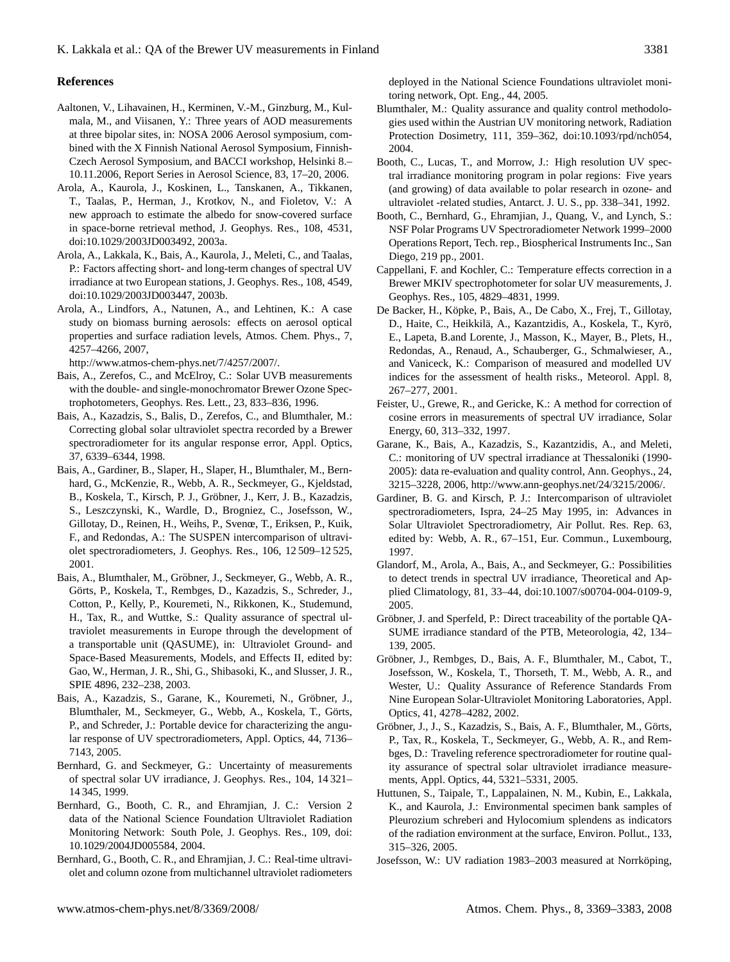# **References**

- <span id="page-12-17"></span>Aaltonen, V., Lihavainen, H., Kerminen, V.-M., Ginzburg, M., Kulmala, M., and Viisanen, Y.: Three years of AOD measurements at three bipolar sites, in: NOSA 2006 Aerosol symposium, combined with the X Finnish National Aerosol Symposium, Finnish-Czech Aerosol Symposium, and BACCI workshop, Helsinki 8.– 10.11.2006, Report Series in Aerosol Science, 83, 17–20, 2006.
- <span id="page-12-16"></span>Arola, A., Kaurola, J., Koskinen, L., Tanskanen, A., Tikkanen, T., Taalas, P., Herman, J., Krotkov, N., and Fioletov, V.: A new approach to estimate the albedo for snow-covered surface in space-borne retrieval method, J. Geophys. Res., 108, 4531, doi:10.1029/2003JD003492, 2003a.
- <span id="page-12-4"></span>Arola, A., Lakkala, K., Bais, A., Kaurola, J., Meleti, C., and Taalas, P.: Factors affecting short- and long-term changes of spectral UV irradiance at two European stations, J. Geophys. Res., 108, 4549, doi:10.1029/2003JD003447, 2003b.
- <span id="page-12-8"></span>Arola, A., Lindfors, A., Natunen, A., and Lehtinen, K.: A case study on biomass burning aerosols: effects on aerosol optical properties and surface radiation levels, Atmos. Chem. Phys., 7, 4257–4266, 2007,

[http://www.atmos-chem-phys.net/7/4257/2007/.](http://www.atmos-chem-phys.net/7/4257/2007/)

- <span id="page-12-20"></span>Bais, A., Zerefos, C., and McElroy, C.: Solar UVB measurements with the double- and single-monochromator Brewer Ozone Spectrophotometers, Geophys. Res. Lett., 23, 833–836, 1996.
- <span id="page-12-21"></span>Bais, A., Kazadzis, S., Balis, D., Zerefos, C., and Blumthaler, M.: Correcting global solar ultraviolet spectra recorded by a Brewer spectroradiometer for its angular response error, Appl. Optics, 37, 6339–6344, 1998.
- <span id="page-12-2"></span>Bais, A., Gardiner, B., Slaper, H., Slaper, H., Blumthaler, M., Bernhard, G., McKenzie, R., Webb, A. R., Seckmeyer, G., Kjeldstad, B., Koskela, T., Kirsch, P. J., Grobner, J., Kerr, J. B., Kazadzis, ¨ S., Leszczynski, K., Wardle, D., Brogniez, C., Josefsson, W., Gillotay, D., Reinen, H., Weihs, P., Svenœ, T., Eriksen, P., Kuik, F., and Redondas, A.: The SUSPEN intercomparison of ultraviolet spectroradiometers, J. Geophys. Res., 106, 12 509–12 525, 2001.
- <span id="page-12-23"></span>Bais, A., Blumthaler, M., Gröbner, J., Seckmeyer, G., Webb, A. R., Görts, P., Koskela, T., Rembges, D., Kazadzis, S., Schreder, J., Cotton, P., Kelly, P., Kouremeti, N., Rikkonen, K., Studemund, H., Tax, R., and Wuttke, S.: Quality assurance of spectral ultraviolet measurements in Europe through the development of a transportable unit (QASUME), in: Ultraviolet Ground- and Space-Based Measurements, Models, and Effects II, edited by: Gao, W., Herman, J. R., Shi, G., Shibasoki, K., and Slusser, J. R., SPIE 4896, 232–238, 2003.
- <span id="page-12-18"></span>Bais, A., Kazadzis, S., Garane, K., Kouremeti, N., Gröbner, J., Blumthaler, M., Seckmeyer, G., Webb, A., Koskela, T., Görts, P., and Schreder, J.: Portable device for characterizing the angular response of UV spectroradiometers, Appl. Optics, 44, 7136– 7143, 2005.
- <span id="page-12-9"></span>Bernhard, G. and Seckmeyer, G.: Uncertainty of measurements of spectral solar UV irradiance, J. Geophys. Res., 104, 14 321– 14 345, 1999.
- <span id="page-12-14"></span>Bernhard, G., Booth, C. R., and Ehramjian, J. C.: Version 2 data of the National Science Foundation Ultraviolet Radiation Monitoring Network: South Pole, J. Geophys. Res., 109, doi: 10.1029/2004JD005584, 2004.
- <span id="page-12-11"></span>Bernhard, G., Booth, C. R., and Ehramjian, J. C.: Real-time ultraviolet and column ozone from multichannel ultraviolet radiometers

deployed in the National Science Foundations ultraviolet monitoring network, Opt. Eng., 44, 2005.

- <span id="page-12-10"></span>Blumthaler, M.: Quality assurance and quality control methodologies used within the Austrian UV monitoring network, Radiation Protection Dosimetry, 111, 359–362, doi:10.1093/rpd/nch054, 2004.
- <span id="page-12-0"></span>Booth, C., Lucas, T., and Morrow, J.: High resolution UV spectral irradiance monitoring program in polar regions: Five years (and growing) of data available to polar research in ozone- and ultraviolet -related studies, Antarct. J. U. S., pp. 338–341, 1992.
- <span id="page-12-13"></span>Booth, C., Bernhard, G., Ehramjian, J., Quang, V., and Lynch, S.: NSF Polar Programs UV Spectroradiometer Network 1999–2000 Operations Report, Tech. rep., Biospherical Instruments Inc., San Diego, 219 pp., 2001.
- <span id="page-12-19"></span>Cappellani, F. and Kochler, C.: Temperature effects correction in a Brewer MKIV spectrophotometer for solar UV measurements, J. Geophys. Res., 105, 4829–4831, 1999.
- <span id="page-12-3"></span>De Backer, H., Köpke, P., Bais, A., De Cabo, X., Frej, T., Gillotay, D., Haite, C., Heikkilä, A., Kazantzidis, A., Koskela, T., Kyrö, E., Lapeta, B.and Lorente, J., Masson, K., Mayer, B., Plets, H., Redondas, A., Renaud, A., Schauberger, G., Schmalwieser, A., and Vaniceck, K.: Comparison of measured and modelled UV indices for the assessment of health risks., Meteorol. Appl. 8, 267–277, 2001.
- <span id="page-12-22"></span>Feister, U., Grewe, R., and Gericke, K.: A method for correction of cosine errors in measurements of spectral UV irradiance, Solar Energy, 60, 313–332, 1997.
- <span id="page-12-15"></span>Garane, K., Bais, A., Kazadzis, S., Kazantzidis, A., and Meleti, C.: monitoring of UV spectral irradiance at Thessaloniki (1990- 2005): data re-evaluation and quality control, Ann. Geophys., 24, 3215–3228, 2006, [http://www.ann-geophys.net/24/3215/2006/.](http://www.ann-geophys.net/24/3215/2006/)
- <span id="page-12-1"></span>Gardiner, B. G. and Kirsch, P. J.: Intercomparison of ultraviolet spectroradiometers, Ispra, 24–25 May 1995, in: Advances in Solar Ultraviolet Spectroradiometry, Air Pollut. Res. Rep. 63, edited by: Webb, A. R., 67–151, Eur. Commun., Luxembourg, 1997.
- <span id="page-12-5"></span>Glandorf, M., Arola, A., Bais, A., and Seckmeyer, G.: Possibilities to detect trends in spectral UV irradiance, Theoretical and Applied Climatology, 81, 33–44, doi:10.1007/s00704-004-0109-9, 2005.
- <span id="page-12-24"></span>Gröbner, J. and Sperfeld, P.: Direct traceability of the portable QA-SUME irradiance standard of the PTB, Meteorologia, 42, 134– 139, 2005.
- <span id="page-12-25"></span>Gröbner, J., Rembges, D., Bais, A. F., Blumthaler, M., Cabot, T., Josefsson, W., Koskela, T., Thorseth, T. M., Webb, A. R., and Wester, U.: Quality Assurance of Reference Standards From Nine European Solar-Ultraviolet Monitoring Laboratories, Appl. Optics, 41, 4278–4282, 2002.
- <span id="page-12-6"></span>Gröbner, J., J., S., Kazadzis, S., Bais, A. F., Blumthaler, M., Görts, P., Tax, R., Koskela, T., Seckmeyer, G., Webb, A. R., and Rembges, D.: Traveling reference spectroradiometer for routine quality assurance of spectral solar ultraviolet irradiance measurements, Appl. Optics, 44, 5321–5331, 2005.
- <span id="page-12-7"></span>Huttunen, S., Taipale, T., Lappalainen, N. M., Kubin, E., Lakkala, K., and Kaurola, J.: Environmental specimen bank samples of Pleurozium schreberi and Hylocomium splendens as indicators of the radiation environment at the surface, Environ. Pollut., 133, 315–326, 2005.
- <span id="page-12-12"></span>Josefsson, W.: UV radiation 1983–2003 measured at Norrköping,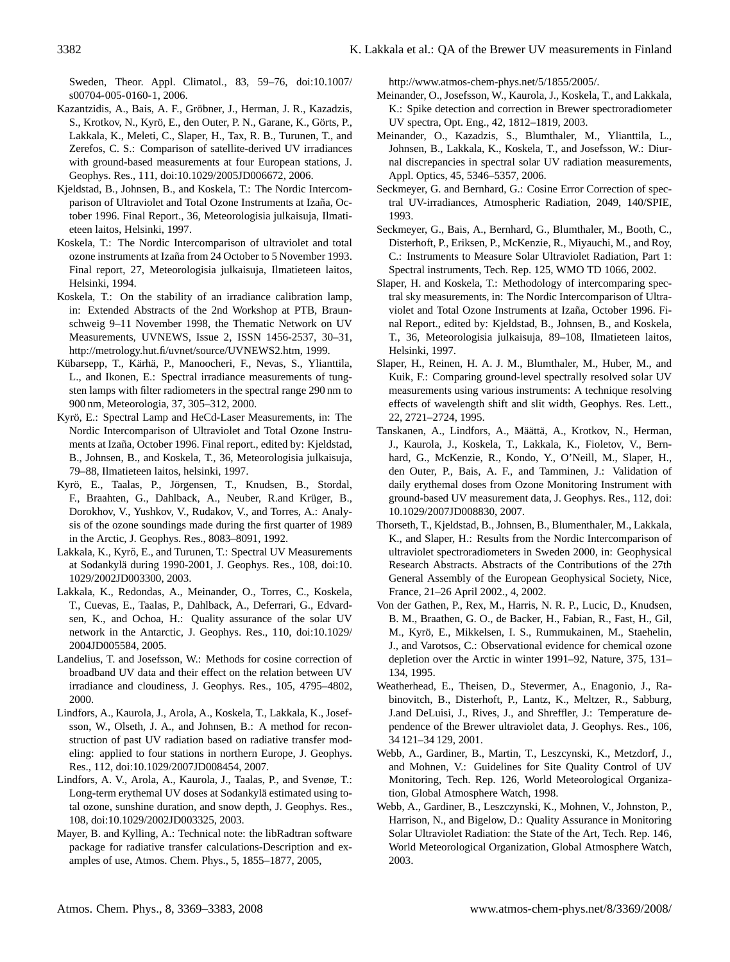Sweden, Theor. Appl. Climatol., 83, 59–76, doi:10.1007/ s00704-005-0160-1, 2006.

- <span id="page-13-6"></span>Kazantzidis, A., Bais, A. F., Gröbner, J., Herman, J. R., Kazadzis, S., Krotkov, N., Kyrö, E., den Outer, P. N., Garane, K., Görts, P., Lakkala, K., Meleti, C., Slaper, H., Tax, R. B., Turunen, T., and Zerefos, C. S.: Comparison of satellite-derived UV irradiances with ground-based measurements at four European stations, J. Geophys. Res., 111, doi:10.1029/2005JD006672, 2006.
- <span id="page-13-22"></span>Kjeldstad, B., Johnsen, B., and Koskela, T.: The Nordic Intercomparison of Ultraviolet and Total Ozone Instruments at Izaña, October 1996. Final Report., 36, Meteorologisia julkaisuja, Ilmatieteen laitos, Helsinki, 1997.
- <span id="page-13-21"></span>Koskela, T.: The Nordic Intercomparison of ultraviolet and total ozone instruments at Izaña from 24 October to 5 November 1993. Final report, 27, Meteorologisia julkaisuja, Ilmatieteen laitos, Helsinki, 1994.
- <span id="page-13-13"></span>Koskela, T.: On the stability of an irradiance calibration lamp, in: Extended Abstracts of the 2nd Workshop at PTB, Braunschweig 9–11 November 1998, the Thematic Network on UV Measurements, UVNEWS, Issue 2, ISSN 1456-2537, 30–31, [http://metrology.hut.fi/uvnet/source/UVNEWS2.htm,](http://metrology.hut.fi/uvnet/source/UVNEWS2.htm) 1999.
- <span id="page-13-16"></span>Kübarsepp, T., Kärhä, P., Manoocheri, F., Nevas, S., Ylianttila, L., and Ikonen, E.: Spectral irradiance measurements of tungsten lamps with filter radiometers in the spectral range 290 nm to 900 nm, Meteorologia, 37, 305–312, 2000.
- <span id="page-13-14"></span>Kyrö, E.: Spectral Lamp and HeCd-Laser Measurements, in: The Nordic Intercomparison of Ultraviolet and Total Ozone Instruments at Izaña, October 1996. Final report., edited by: Kjeldstad, B., Johnsen, B., and Koskela, T., 36, Meteorologisia julkaisuja, 79–88, Ilmatieteen laitos, helsinki, 1997.
- <span id="page-13-1"></span>Kyrö, E., Taalas, P., Jörgensen, T., Knudsen, B., Stordal, F., Braahten, G., Dahlback, A., Neuber, R.and Krüger, B., Dorokhov, V., Yushkov, V., Rudakov, V., and Torres, A.: Analysis of the ozone soundings made during the first quarter of 1989 in the Arctic, J. Geophys. Res., 8083–8091, 1992.
- <span id="page-13-4"></span>Lakkala, K., Kyrö, E., and Turunen, T.: Spectral UV Measurements at Sodankylä during 1990-2001, J. Geophys. Res., 108, doi:10. 1029/2002JD003300, 2003.
- <span id="page-13-12"></span>Lakkala, K., Redondas, A., Meinander, O., Torres, C., Koskela, T., Cuevas, E., Taalas, P., Dahlback, A., Deferrari, G., Edvardsen, K., and Ochoa, H.: Quality assurance of the solar UV network in the Antarctic, J. Geophys. Res., 110, doi:10.1029/ 2004JD005584, 2005.
- <span id="page-13-17"></span>Landelius, T. and Josefsson, W.: Methods for cosine correction of broadband UV data and their effect on the relation between UV irradiance and cloudiness, J. Geophys. Res., 105, 4795–4802, 2000.
- <span id="page-13-8"></span>Lindfors, A., Kaurola, J., Arola, A., Koskela, T., Lakkala, K., Josefsson, W., Olseth, J. A., and Johnsen, B.: A method for reconstruction of past UV radiation based on radiative transfer modeling: applied to four stations in northern Europe, J. Geophys. Res., 112, doi:10.1029/2007JD008454, 2007.
- <span id="page-13-5"></span>Lindfors, A. V., Arola, A., Kaurola, J., Taalas, P., and Svenøe, T.: Long-term erythemal UV doses at Sodankylä estimated using total ozone, sunshine duration, and snow depth, J. Geophys. Res., 108, doi:10.1029/2002JD003325, 2003.
- <span id="page-13-19"></span>Mayer, B. and Kylling, A.: Technical note: the libRadtran software package for radiative transfer calculations-Description and examples of use, Atmos. Chem. Phys., 5, 1855–1877, 2005,

[http://www.atmos-chem-phys.net/5/1855/2005/.](http://www.atmos-chem-phys.net/5/1855/2005/)

- <span id="page-13-3"></span>Meinander, O., Josefsson, W., Kaurola, J., Koskela, T., and Lakkala, K.: Spike detection and correction in Brewer spectroradiometer UV spectra, Opt. Eng., 42, 1812–1819, 2003.
- <span id="page-13-7"></span>Meinander, O., Kazadzis, S., Blumthaler, M., Ylianttila, L., Johnsen, B., Lakkala, K., Koskela, T., and Josefsson, W.: Diurnal discrepancies in spectral solar UV radiation measurements, Appl. Optics, 45, 5346–5357, 2006.
- <span id="page-13-18"></span>Seckmeyer, G. and Bernhard, G.: Cosine Error Correction of spectral UV-irradiances, Atmospheric Radiation, 2049, 140/SPIE, 1993.
- <span id="page-13-0"></span>Seckmeyer, G., Bais, A., Bernhard, G., Blumthaler, M., Booth, C., Disterhoft, P., Eriksen, P., McKenzie, R., Miyauchi, M., and Roy, C.: Instruments to Measure Solar Ultraviolet Radiation, Part 1: Spectral instruments, Tech. Rep. 125, WMO TD 1066, 2002.
- <span id="page-13-24"></span>Slaper, H. and Koskela, T.: Methodology of intercomparing spectral sky measurements, in: The Nordic Intercomparison of Ultraviolet and Total Ozone Instruments at Izaña, October 1996. Final Report., edited by: Kjeldstad, B., Johnsen, B., and Koskela, T., 36, Meteorologisia julkaisuja, 89–108, Ilmatieteen laitos, Helsinki, 1997.
- <span id="page-13-20"></span>Slaper, H., Reinen, H. A. J. M., Blumthaler, M., Huber, M., and Kuik, F.: Comparing ground-level spectrally resolved solar UV measurements using various instruments: A technique resolving effects of wavelength shift and slit width, Geophys. Res. Lett., 22, 2721–2724, 1995.
- <span id="page-13-9"></span>Tanskanen, A., Lindfors, A., Määttä, A., Krotkov, N., Herman, J., Kaurola, J., Koskela, T., Lakkala, K., Fioletov, V., Bernhard, G., McKenzie, R., Kondo, Y., O'Neill, M., Slaper, H., den Outer, P., Bais, A. F., and Tamminen, J.: Validation of daily erythemal doses from Ozone Monitoring Instrument with ground-based UV measurement data, J. Geophys. Res., 112, doi: 10.1029/2007JD008830, 2007.
- <span id="page-13-23"></span>Thorseth, T., Kjeldstad, B., Johnsen, B., Blumenthaler, M., Lakkala, K., and Slaper, H.: Results from the Nordic Intercomparison of ultraviolet spectroradiometers in Sweden 2000, in: Geophysical Research Abstracts. Abstracts of the Contributions of the 27th General Assembly of the European Geophysical Society, Nice, France, 21–26 April 2002., 4, 2002.
- <span id="page-13-2"></span>Von der Gathen, P., Rex, M., Harris, N. R. P., Lucic, D., Knudsen, B. M., Braathen, G. O., de Backer, H., Fabian, R., Fast, H., Gil, M., Kyrö, E., Mikkelsen, I. S., Rummukainen, M., Staehelin, J., and Varotsos, C.: Observational evidence for chemical ozone depletion over the Arctic in winter 1991–92, Nature, 375, 131– 134, 1995.
- <span id="page-13-15"></span>Weatherhead, E., Theisen, D., Stevermer, A., Enagonio, J., Rabinovitch, B., Disterhoft, P., Lantz, K., Meltzer, R., Sabburg, J.and DeLuisi, J., Rives, J., and Shreffler, J.: Temperature dependence of the Brewer ultraviolet data, J. Geophys. Res., 106, 34 121–34 129, 2001.
- <span id="page-13-11"></span>Webb, A., Gardiner, B., Martin, T., Leszcynski, K., Metzdorf, J., and Mohnen, V.: Guidelines for Site Quality Control of UV Monitoring, Tech. Rep. 126, World Meteorological Organization, Global Atmosphere Watch, 1998.
- <span id="page-13-10"></span>Webb, A., Gardiner, B., Leszczynski, K., Mohnen, V., Johnston, P., Harrison, N., and Bigelow, D.: Quality Assurance in Monitoring Solar Ultraviolet Radiation: the State of the Art, Tech. Rep. 146, World Meteorological Organization, Global Atmosphere Watch, 2003.